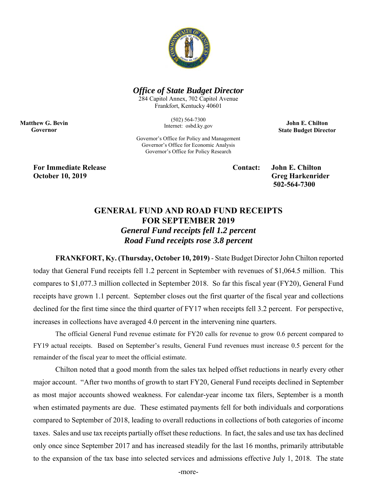

## *Office of State Budget Director*

284 Capitol Annex, 702 Capitol Avenue Frankfort, Kentucky 40601

> (502) 564-7300 Internet: osbd.ky.gov

**John E. Chilton State Budget Director** 

Governor's Office for Policy and Management Governor's Office for Economic Analysis Governor's Office for Policy Research

**For Immediate Release Contact: John E. Chilton October 10, 2019** Greg Harkenrider

**Matthew G. Bevin Governor** 

 **502-564-7300** 

## **GENERAL FUND AND ROAD FUND RECEIPTS FOR SEPTEMBER 2019**  *General Fund receipts fell 1.2 percent Road Fund receipts rose 3.8 percent*

 **FRANKFORT, Ky. (Thursday, October 10, 2019)** - State Budget Director John Chilton reported today that General Fund receipts fell 1.2 percent in September with revenues of \$1,064.5 million. This compares to \$1,077.3 million collected in September 2018. So far this fiscal year (FY20), General Fund receipts have grown 1.1 percent. September closes out the first quarter of the fiscal year and collections declined for the first time since the third quarter of FY17 when receipts fell 3.2 percent. For perspective, increases in collections have averaged 4.0 percent in the intervening nine quarters.

 The official General Fund revenue estimate for FY20 calls for revenue to grow 0.6 percent compared to FY19 actual receipts. Based on September's results, General Fund revenues must increase 0.5 percent for the remainder of the fiscal year to meet the official estimate.

Chilton noted that a good month from the sales tax helped offset reductions in nearly every other major account. "After two months of growth to start FY20, General Fund receipts declined in September as most major accounts showed weakness. For calendar-year income tax filers, September is a month when estimated payments are due. These estimated payments fell for both individuals and corporations compared to September of 2018, leading to overall reductions in collections of both categories of income taxes. Sales and use tax receipts partially offset these reductions. In fact, the sales and use tax has declined only once since September 2017 and has increased steadily for the last 16 months, primarily attributable to the expansion of the tax base into selected services and admissions effective July 1, 2018. The state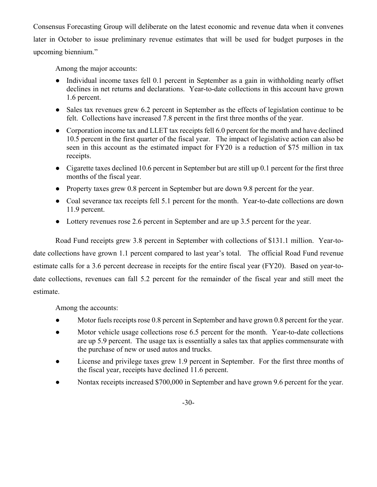Consensus Forecasting Group will deliberate on the latest economic and revenue data when it convenes later in October to issue preliminary revenue estimates that will be used for budget purposes in the upcoming biennium."

Among the major accounts:

- Individual income taxes fell 0.1 percent in September as a gain in withholding nearly offset declines in net returns and declarations. Year-to-date collections in this account have grown 1.6 percent.
- Sales tax revenues grew 6.2 percent in September as the effects of legislation continue to be felt. Collections have increased 7.8 percent in the first three months of the year.
- Corporation income tax and LLET tax receipts fell 6.0 percent for the month and have declined 10.5 percent in the first quarter of the fiscal year. The impact of legislative action can also be seen in this account as the estimated impact for FY20 is a reduction of \$75 million in tax receipts.
- Cigarette taxes declined 10.6 percent in September but are still up 0.1 percent for the first three months of the fiscal year.
- Property taxes grew 0.8 percent in September but are down 9.8 percent for the year.
- Coal severance tax receipts fell 5.1 percent for the month. Year-to-date collections are down 11.9 percent.
- Lottery revenues rose 2.6 percent in September and are up 3.5 percent for the year.

Road Fund receipts grew 3.8 percent in September with collections of \$131.1 million. Year-todate collections have grown 1.1 percent compared to last year's total. The official Road Fund revenue estimate calls for a 3.6 percent decrease in receipts for the entire fiscal year (FY20). Based on year-todate collections, revenues can fall 5.2 percent for the remainder of the fiscal year and still meet the estimate.

Among the accounts:

- Motor fuels receipts rose 0.8 percent in September and have grown 0.8 percent for the year.
- Motor vehicle usage collections rose 6.5 percent for the month. Year-to-date collections are up 5.9 percent. The usage tax is essentially a sales tax that applies commensurate with the purchase of new or used autos and trucks.
- License and privilege taxes grew 1.9 percent in September. For the first three months of the fiscal year, receipts have declined 11.6 percent.
- Nontax receipts increased \$700,000 in September and have grown 9.6 percent for the year.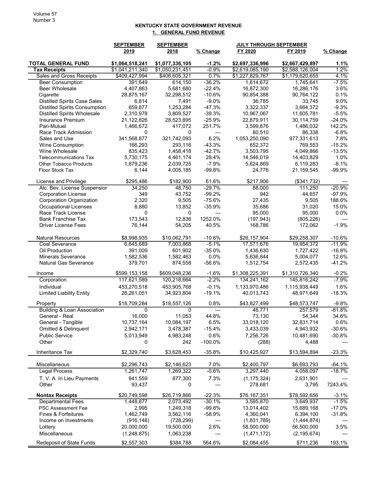## KENTUCKY STATE GOVERNMENT REVENUE 1. GENERAL FUND REVENUE

|                                                 | <b>SEPTEMBER</b><br><b>SEPTEMBER</b><br>2019 |                        |                  | <b>JULY THROUGH SEPTEMBER</b><br>FY 2020<br>FY 2019 |                          |                  |
|-------------------------------------------------|----------------------------------------------|------------------------|------------------|-----------------------------------------------------|--------------------------|------------------|
|                                                 |                                              | 2018                   | % Change         |                                                     |                          | % Change         |
| <b>TOTAL GENERAL FUND</b>                       | \$1,064,518,241                              | \$1,077,336,105        | $-1.2%$          | \$2,697,336,996                                     | \$2,667,429,897          | 1.1%             |
| <b>Tax Receipts</b>                             | \$1,041,211,340                              | \$1,050,231,451        | $-0.9%$          | \$2,619,085,190                                     | \$2,588,126,004          | 1.2%             |
| Sales and Gross Receipts                        | \$409,427,994                                | \$406,605,321          | 0.7%             | \$1,227,829,767                                     | \$1,179,620,655          | 4.1%             |
| <b>Beer Consumption</b>                         | 391,649                                      | 614,150                | $-36.2%$         | 1,614,672                                           | 1,745,641                | $-7.5%$          |
| Beer Wholesale                                  | 4,407,863                                    | 5,681,680              | $-22.4%$         | 16,872,300                                          | 16,286,176               | 3.6%             |
| Cigarette                                       | 28,875,167                                   | 32,298,512             | $-10.6%$         | 90,854,388                                          | 90,764,122               | 0.1%             |
| <b>Distilled Spirits Case Sales</b>             | 6,814                                        | 7,491                  | $-9.0%$          | 36,785                                              | 33,745                   | 9.0%             |
| <b>Distilled Spirits Consumption</b>            | 659,877                                      | 1,253,284              | $-47.3%$         | 3,322,337                                           | 3.664.372                | $-9.3%$          |
| <b>Distilled Spirits Wholesale</b>              | 2,310,978                                    | 3,809,527              | $-39.3%$         | 10,967,067                                          | 11,605,781               | $-5.5%$          |
| <b>Insurance Premium</b>                        | 21,122,826                                   | 28,523,895             | $-25.9%$         | 22,879,911                                          | 30,114,759               | $-24.0%$         |
| Pari-Mutuel                                     | 1,466,672                                    | 417,072                | 251.7%           | 3,599,876                                           | 1,486,032                | 142.2%           |
| Race Track Admission                            | 0                                            | 0                      | $---$            | 80,510                                              | 86,338                   | $-6.8%$          |
| Sales and Use                                   | 341,568,877                                  | 321,742,093            | 6.2%             | 1,053,250,090                                       | 977,331,613              | 7.8%             |
| Wine Consumption                                | 166,293                                      | 293,116                | $-43.3%$         | 652,372                                             | 769,553                  | $-15.2%$         |
| Wine Wholesale<br><b>Telecommunications Tax</b> | 835,423                                      | 1,458,418              | $-42.7%$         | 3,503,795                                           | 4,049,866                | $-13.5%$<br>1.0% |
| <b>Other Tobacco Products</b>                   | 5,730,175<br>1,879,236                       | 4,461,174<br>2,039,725 | 28.4%<br>$-7.9%$ | 14,546,019<br>5,624,869                             | 14,403,829<br>6,119,283  | $-8.1%$          |
| Floor Stock Tax                                 | 6,144                                        | 4,005,185              | -99.8%           | 24,776                                              | 21,159,545               | $-99.9%$         |
|                                                 |                                              |                        |                  |                                                     |                          |                  |
| License and Privilege                           | \$295,486                                    | \$182,900              | 61.6%            | \$217,906                                           | (\$341,732)              |                  |
| Alc. Bev. License Suspensior                    | 34,250                                       | 48,750                 | $-29.7%$         | 88,000                                              | 111,250                  | $-20.9%$         |
| <b>Corporation License</b>                      | 349                                          | 43,752                 | $-99.2%$         | 942                                                 | 44,657                   | $-97.9%$         |
| Corporation Organization                        | 2,320                                        | 9,505                  | $-75.6%$         | 27,435                                              | 9,505                    | 188.6%           |
| <b>Occupational Licenses</b>                    | 8,880                                        | 13,852                 | $-35.9%$         | 35,686                                              | 31,020                   | 15.0%            |
| Race Track License                              | 0                                            | 0                      | ---              | 95,000                                              | 95,000                   | 0.0%             |
| <b>Bank Franchise Tax</b>                       | 173,543                                      | 12,836                 | 1252.0%          | (197, 943)                                          | (805, 226)               |                  |
| <b>Driver License Fees</b>                      | 76,144                                       | 54,205                 | 40.5%            | 168,786                                             | 172,062                  | $-1.9%$          |
| <b>Natural Resources</b>                        | \$8,998,935                                  | \$10,062,791           | $-10.6%$         | \$26,157,904                                        | \$29,258,307             | $-10.6%$         |
| Coal Severance                                  | 6,645,689                                    | 7,003,868              | $-5.1%$          | 17,571,676                                          | 19,954,372               | $-11.9%$         |
| Oil Production                                  | 391,009                                      | 601,902                | $-35.0%$         | 1,436,630                                           | 1,727,422                | $-16.8%$         |
| <b>Minerals Severance</b>                       | 1,582,536                                    | 1,582,463              | 0.0%             | 5,636,844                                           | 5,004,077                | 12.6%            |
| <b>Natural Gas Severance</b>                    | 379,701                                      | 874,558                | $-56.6%$         | 1,512,754                                           | 2,572,435                | $-41.2%$         |
| Income                                          | \$599,153,158                                | \$609,048,236          | $-1.6%$          | \$1,308,225,391                                     | \$1,310,726,340          | $-0.2%$          |
| Corporation                                     | 117,621,589                                  | 120,218,664            | $-2.2%$          | 134,241,162                                         | 145,816,242              | $-7.9%$          |
| Individual                                      | 453,270,518                                  | 453,905,768            | $-0.1%$          | 1,133,970,486                                       | 1,115,938,449            | 1.6%             |
| <b>Limited Liability Entity</b>                 | 28,261,051                                   | 34,923,804             | $-19.1%$         | 40,013,743                                          | 48,971,649               | $-18.3%$         |
| Property                                        | \$18,709,284                                 | \$18,557,126           | 0.8%             | \$43,827,499                                        | \$48,573,747             | $-9.8%$          |
| <b>Building &amp; Loan Association</b>          | 0                                            | 0                      | $---$            | 46,771                                              | 257,579                  | $-81.8%$         |
| General - Real                                  | 16,000                                       | 11,053                 | 44.8%            | 73,130                                              | 54,344                   | 34.6%            |
| General - Tangible                              | 10,737,164                                   | 10,084,197             | 6.5%             | 33,018,120                                          | 32,831,714               | 0.6%             |
| Omitted & Delinquent                            | 2,942,171                                    | 3,478,387              | $-15.4%$         | 3,433,039                                           | 4,943,932                | $-30.6%$         |
| <b>Public Service</b>                           | 5,013,949                                    | 4,983,248              | 0.6%             | 7,256,726                                           | 10,481,690               | $-30.8%$         |
| Other                                           | 0                                            | 242                    | $-100.0%$        | (288)                                               | 4,488                    |                  |
| <b>Inheritance Tax</b>                          | \$2,329,740                                  | \$3,628,453            | $-35.8%$         | \$10,425,927                                        | \$13,594,894             | $-23.3%$         |
| Miscellaneous                                   | \$2,296,743                                  | \$2,146,623            | 7.0%             | \$2,400,797                                         |                          | $-64.1%$         |
| Legal Process                                   | 1,261,747                                    | 1,269,322              | $-0.6%$          | 3,297,440                                           | \$6,693,793<br>4,058,097 | $-18.7%$         |
|                                                 |                                              |                        |                  |                                                     |                          |                  |
| T. V. A. In Lieu Payments<br>Other              | 941,559<br>93,437                            | 877,300<br>0           | 7.3%<br>---      | (1, 175, 324)<br>278,681                            | 2,631,901<br>3,795       | 7243.4%          |
| <b>Nontax Receipts</b>                          | \$20,749,598                                 | \$26,719,866           | $-22.3%$         | \$76,167,351                                        | \$78,592,656             | $-3.1%$          |
| <b>Departmental Fees</b>                        | 1,448,877                                    | 2,073,492              | $-30.1%$         | 3,595,870                                           | 3,649,937                | $-1.5%$          |
| <b>PSC Assessment Fee</b>                       | 2,995                                        | 1,249,318              | $-99.8%$         | 13,014,402                                          | 15,689,168               | $-17.0%$         |
| <b>Fines &amp; Forfeitures</b>                  | 1,462,749                                    | 3,562,116              | $-58.9%$         | 4,360,041                                           | 6,394,100                | $-31.8%$         |
| Income on Investments                           | (916, 148)                                   | (728, 299)             | ---              | (1,831,789)                                         | (1,444,874)              |                  |
| Lottery                                         | 20,000,000                                   | 19,500,000             | 2.6%             | 58,500,000                                          | 56,500,000               | 3.5%             |
| Miscellaneous                                   | (1, 248, 875)                                | 1,063,238              |                  | (1,471,172)                                         | (2, 195, 674)            |                  |
| Redeposit of State Funds                        | \$2,557,303                                  | \$384,788              | 564.6%           | \$2,084,455                                         | \$711,236                | 193.1%           |